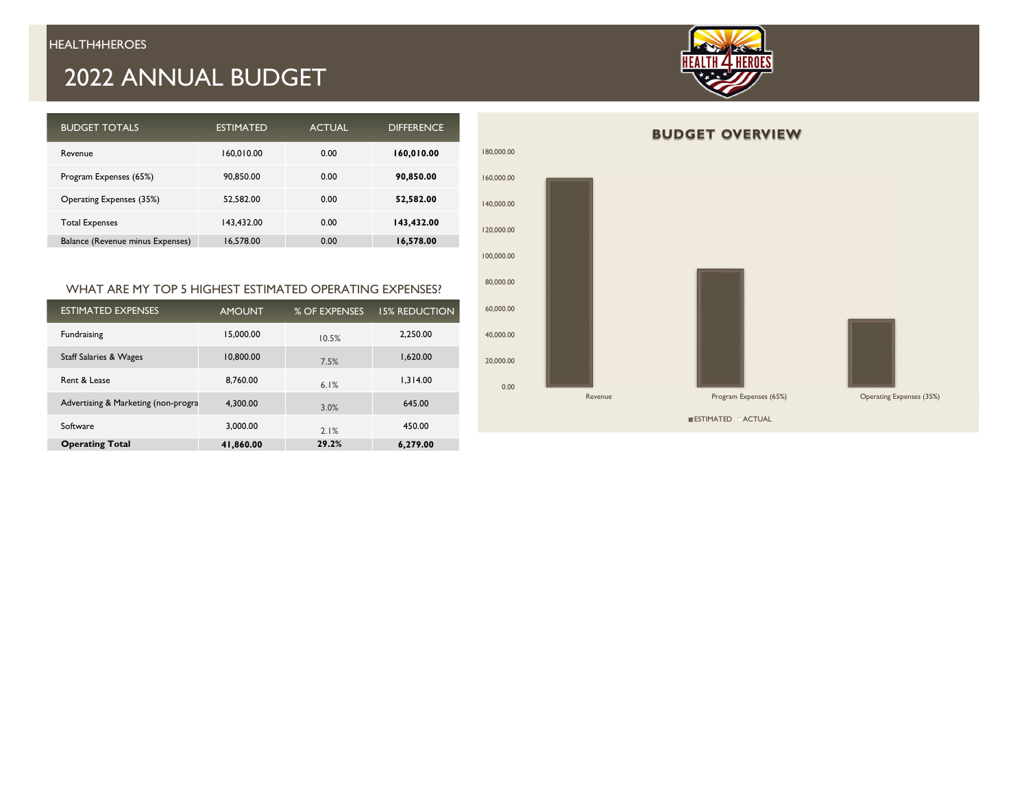## 2022 ANNUAL BUDGET



| <b>BUDGET TOTALS</b>             | <b>ESTIMATED</b> | <b>ACTUAL</b> | <b>DIFFERENCE</b> |
|----------------------------------|------------------|---------------|-------------------|
| Revenue                          | 160,010.00       | 0.00          | 160,010.00        |
| Program Expenses (65%)           | 90.850.00        | 0.00          | 90,850.00         |
| Operating Expenses (35%)         | 52.582.00        | 0.00          | 52,582.00         |
| <b>Total Expenses</b>            | 143.432.00       | 0.00          | 143,432.00        |
| Balance (Revenue minus Expenses) | 16,578.00        | 0.00          | 16,578.00         |

#### WHAT ARE MY TOP 5 HIGHEST ESTIMATED OPERATING EXPENSES?

| <b>ESTIMATED EXPENSES</b>           | <b>AMOUNT</b> | % OF EXPENSES | <b>15% REDUCTION</b> |
|-------------------------------------|---------------|---------------|----------------------|
| Fundraising                         | 15.000.00     | 10.5%         | 2.250.00             |
| Staff Salaries & Wages              | 10,800.00     | 7.5%          | 1.620.00             |
| Rent & Lease                        | 8.760.00      | 6.1%          | 1.314.00             |
| Advertising & Marketing (non-progra | 4.300.00      | 3.0%          | 645.00               |
| Software                            | 3.000.00      | 2.1%          | 450.00               |
| <b>Operating Total</b>              | 41,860.00     | 29.2%         | 6,279.00             |

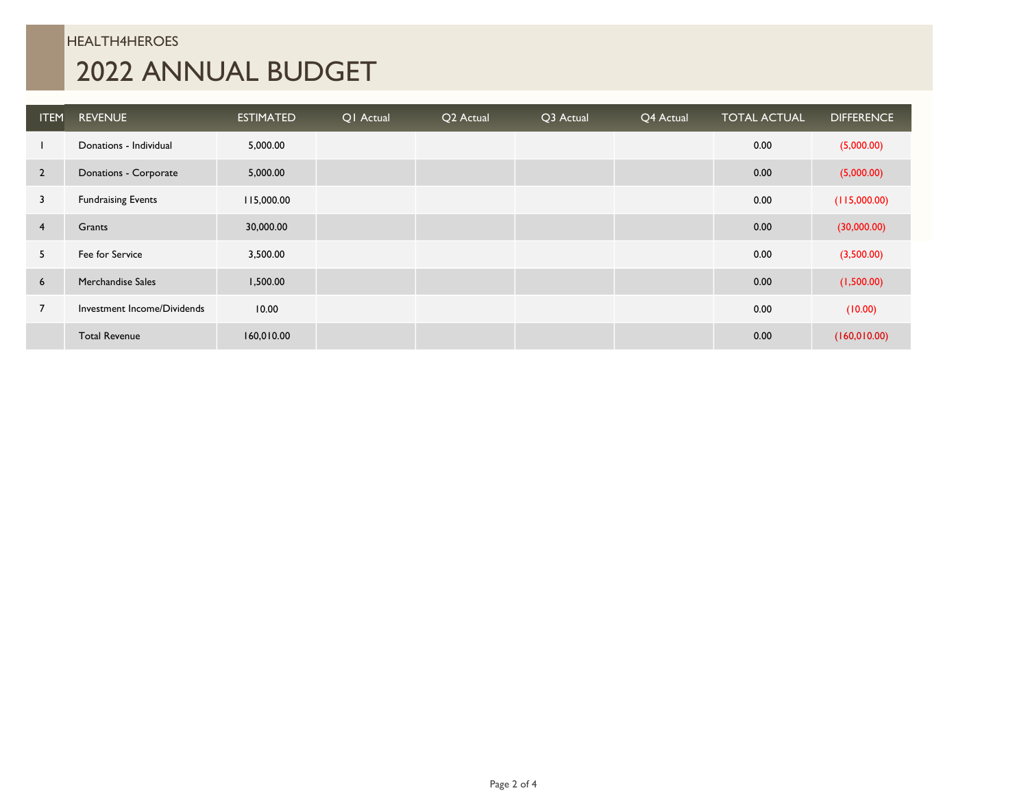## HEALTH4HEROES 2022 ANNUAL BUDGET

| <b>ITEM</b>    | <b>REVENUE</b>              | <b>ESTIMATED</b> | OI Actual | Q2 Actual | Q3 Actual | Q4 Actual | <b>TOTAL ACTUAL</b> | <b>DIFFERENCE</b> |
|----------------|-----------------------------|------------------|-----------|-----------|-----------|-----------|---------------------|-------------------|
|                | Donations - Individual      | 5,000.00         |           |           |           |           | 0.00                | (5,000.00)        |
| $\overline{2}$ | Donations - Corporate       | 5,000.00         |           |           |           |           | 0.00                | (5,000.00)        |
| 3              | <b>Fundraising Events</b>   | 115,000.00       |           |           |           |           | 0.00                | (115,000.00)      |
| $\overline{4}$ | Grants                      | 30,000.00        |           |           |           |           | 0.00                | (30,000.00)       |
| 5              | Fee for Service             | 3,500.00         |           |           |           |           | 0.00                | (3,500.00)        |
| 6              | Merchandise Sales           | 1,500.00         |           |           |           |           | 0.00                | (1,500.00)        |
|                | Investment Income/Dividends | 10.00            |           |           |           |           | 0.00                | (10.00)           |
|                | <b>Total Revenue</b>        | 160,010.00       |           |           |           |           | 0.00                | (160, 010.00)     |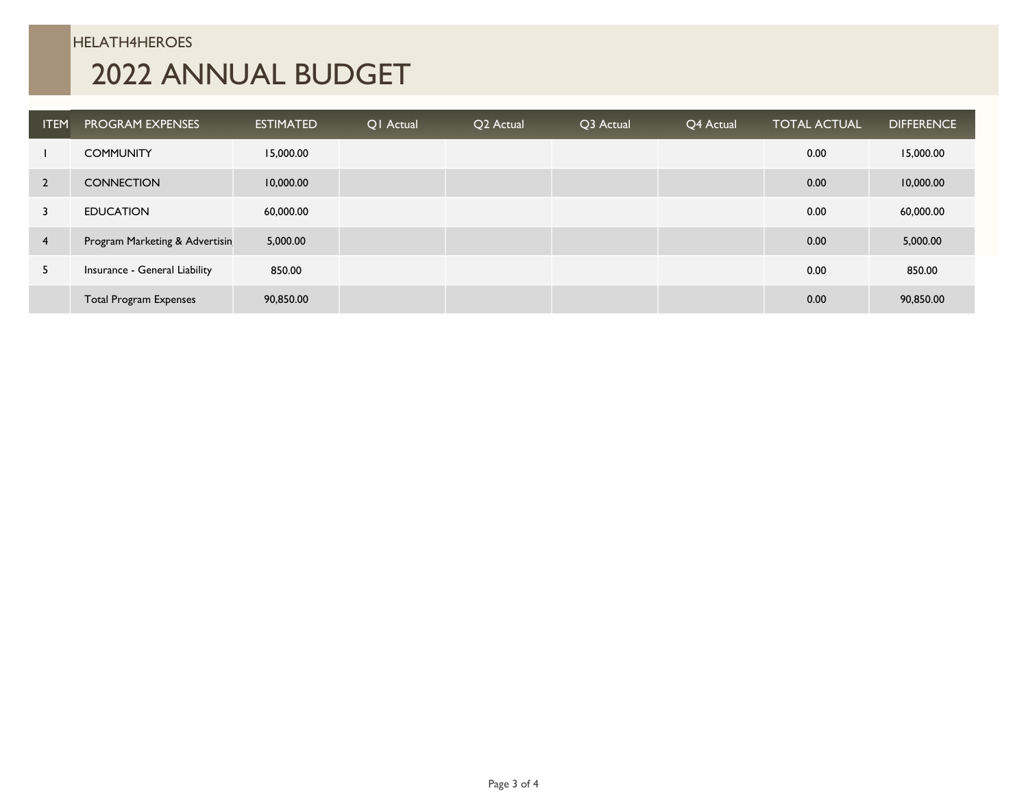#### HELATH4HEROES

# 2022 ANNUAL BUDGET

| <b>ITEM</b>    | <b>PROGRAM EXPENSES</b>        | <b>ESTIMATED</b> | Q1 Actual | Q2 Actual | Q3 Actual | Q4 Actual | <b>TOTAL ACTUAL</b> | <b>DIFFERENCE</b> |
|----------------|--------------------------------|------------------|-----------|-----------|-----------|-----------|---------------------|-------------------|
|                | <b>COMMUNITY</b>               | 15,000.00        |           |           |           |           | 0.00                | 15,000.00         |
| $\overline{2}$ | <b>CONNECTION</b>              | 10,000.00        |           |           |           |           | 0.00                | 10,000.00         |
|                | <b>EDUCATION</b>               | 60,000.00        |           |           |           |           | 0.00                | 60,000.00         |
| 4              | Program Marketing & Advertisin | 5,000.00         |           |           |           |           | 0.00                | 5,000.00          |
| 5              | Insurance - General Liability  | 850.00           |           |           |           |           | 0.00                | 850.00            |
|                | <b>Total Program Expenses</b>  | 90,850.00        |           |           |           |           | 0.00                | 90,850.00         |